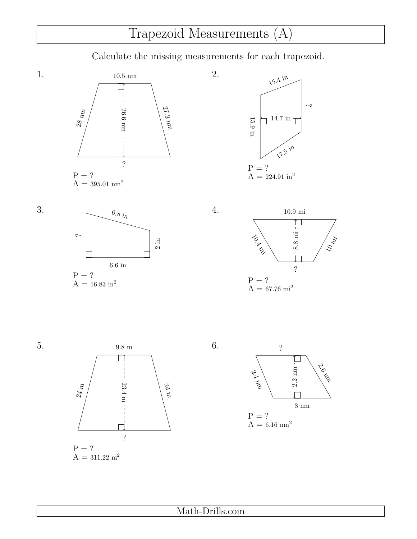## Trapezoid Measurements (A)

Calculate the missing measurements for each trapezoid.

2.

4.







3.







6.



Math-Drills.com